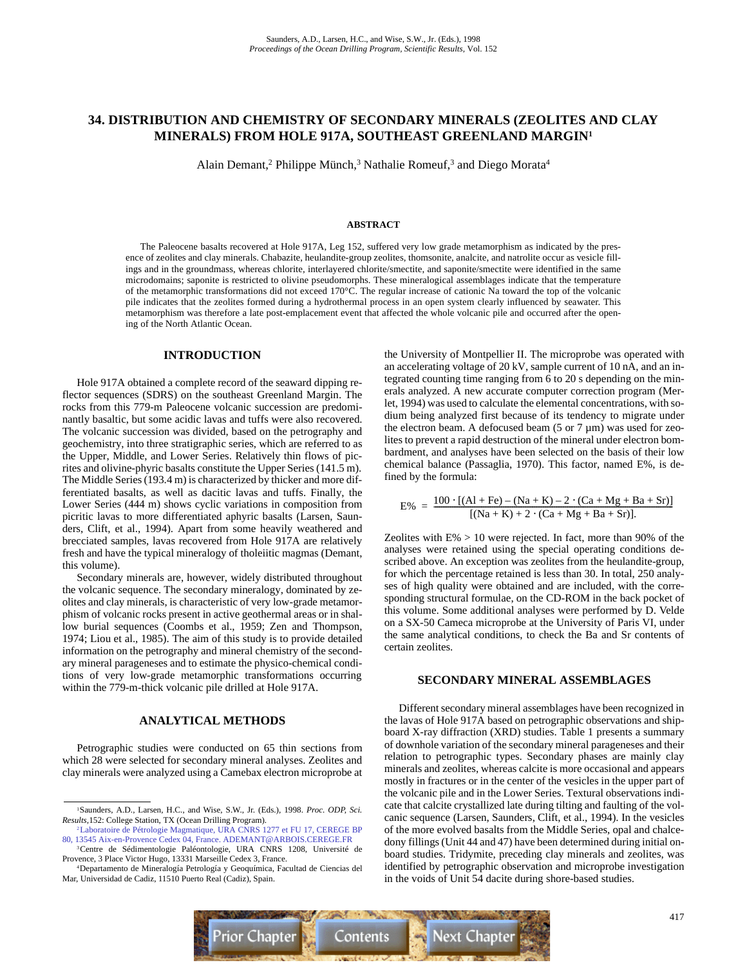## **34. DISTRIBUTION AND CHEMISTRY OF SECONDARY MINERALS (ZEOLITES AND CLAY MINERALS) FROM HOLE 917A, SOUTHEAST GREENLAND MARGIN1**

Alain Demant,<sup>2</sup> Philippe Münch,<sup>3</sup> Nathalie Romeuf,<sup>3</sup> and Diego Morata<sup>4</sup>

### **ABSTRACT**

The Paleocene basalts recovered at Hole 917A, Leg 152, suffered very low grade metamorphism as indicated by the presence of zeolites and clay minerals. Chabazite, heulandite-group zeolites, thomsonite, analcite, and natrolite occur as vesicle fillings and in the groundmass, whereas chlorite, interlayered chlorite/smectite, and saponite/smectite were identified in the same microdomains; saponite is restricted to olivine pseudomorphs. These mineralogical assemblages indicate that the temperature of the metamorphic transformations did not exceed 170°C. The regular increase of cationic Na toward the top of the volcanic pile indicates that the zeolites formed during a hydrothermal process in an open system clearly influenced by seawater. This metamorphism was therefore a late post-emplacement event that affected the whole volcanic pile and occurred after the opening of the North Atlantic Ocean.

### **INTRODUCTION**

Hole 917A obtained a complete record of the seaward dipping reflector sequences (SDRS) on the southeast Greenland Margin. The rocks from this 779-m Paleocene volcanic succession are predominantly basaltic, but some acidic lavas and tuffs were also recovered. The volcanic succession was divided, based on the petrography and geochemistry, into three stratigraphic series, which are referred to as the Upper, Middle, and Lower Series. Relatively thin flows of picrites and olivine-phyric basalts constitute the Upper Series (141.5 m). The Middle Series (193.4 m) is characterized by thicker and more differentiated basalts, as well as dacitic lavas and tuffs. Finally, the Lower Series (444 m) shows cyclic variations in composition from picritic lavas to more differentiated aphyric basalts (Larsen, Saunders, Clift, et al., 1994). Apart from some heavily weathered and brecciated samples, lavas recovered from Hole 917A are relatively fresh and have the typical mineralogy of tholeiitic magmas (Demant, this volume).

Secondary minerals are, however, widely distributed throughout the volcanic sequence. The secondary mineralogy, dominated by zeolites and clay minerals, is characteristic of very low-grade metamorphism of volcanic rocks present in active geothermal areas or in shallow burial sequences (Coombs et al., 1959; Zen and Thompson, 1974; Liou et al., 1985). The aim of this study is to provide detailed information on the petrography and mineral chemistry of the secondary mineral parageneses and to estimate the physico-chemical conditions of very low-grade metamorphic transformations occurring within the 779-m-thick volcanic pile drilled at Hole 917A.

### **ANALYTICAL METHODS**

Petrographic studies were conducted on 65 thin sections from which 28 were selected for secondary mineral analyses. Zeolites and clay minerals were analyzed using a Camebax electron microprobe at the University of Montpellier II. The microprobe was operated with an accelerating voltage of 20 kV, sample current of 10 nA, and an integrated counting time ranging from 6 to 20 s depending on the minerals analyzed. A new accurate computer correction program (Merlet, 1994) was used to calculate the elemental concentrations, with sodium being analyzed first because of its tendency to migrate under the electron beam. A defocused beam  $(5 \text{ or } 7 \text{ µm})$  was used for zeolites to prevent a rapid destruction of the mineral under electron bombardment, and analyses have been selected on the basis of their low chemical balance (Passaglia, 1970). This factor, named E%, is defined by the formula:

$$
E\% = \frac{100 \cdot [(Al + Fe) - (Na + K) - 2 \cdot (Ca + Mg + Ba + Sr)]}{[(Na + K) + 2 \cdot (Ca + Mg + Ba + Sr)].}
$$

Zeolites with  $E\% > 10$  were rejected. In fact, more than 90% of the analyses were retained using the special operating conditions described above. An exception was zeolites from the heulandite-group, for which the percentage retained is less than 30. In total, 250 analyses of high quality were obtained and are included, with the corresponding structural formulae, on the CD-ROM in the back pocket of this volume. Some additional analyses were performed by D. Velde on a SX-50 Cameca microprobe at the University of Paris VI, under the same analytical conditions, to check the Ba and Sr contents of certain zeolites.

### **SECONDARY MINERAL ASSEMBLAGES**

Different secondary mineral assemblages have been recognized in the lavas of Hole 917A based on petrographic observations and shipboard X-ray diffraction (XRD) studies. Table 1 presents a summary of downhole variation of the secondary mineral parageneses and their relation to petrographic types. Secondary phases are mainly clay minerals and zeolites, whereas calcite is more occasional and appears mostly in fractures or in the center of the vesicles in the upper part of the volcanic pile and in the Lower Series. Textural observations indicate that calcite crystallized late during tilting and faulting of the volcanic sequence (Larsen, Saunders, Clift, et al., 1994). In the vesicles of the more evolved basalts from the Middle Series, opal and chalcedony fillings (Unit 44 and 47) have been determined during initial onboard studies. Tridymite, preceding clay minerals and zeolites, was identified by petrographic observation and microprobe investigation in the voids of Unit 54 dacite during shore-based studies.



<sup>1</sup>Saunders, A.D., Larsen, H.C., and Wise, S.W., Jr. (Eds.), 1998. *Proc. ODP, Sci. Results,*152: College Station, TX (Ocean Drilling Program).

<sup>2</sup>Laboratoire de Pétrologie Magmatique, URA CNRS 1277 et FU 17, CEREGE BP [80, 13545 Aix-en-Provence Cedex 04, France. ADEMANT@ARBOIS.CEREGE.FR](mailto:ademant@arbois.cerege.fr)

<sup>3</sup>Centre de Sédimentologie Paléontologie, URA CNRS 1208, Université de Provence, 3 Place Victor Hugo, 13331 Marseille Cedex 3, France.

<sup>4</sup>Departamento de Mineralogía Petrología y Geoquímica, Facultad de Ciencias del Mar, Universidad de Cadiz, 11510 Puerto Real (Cadiz), Spain.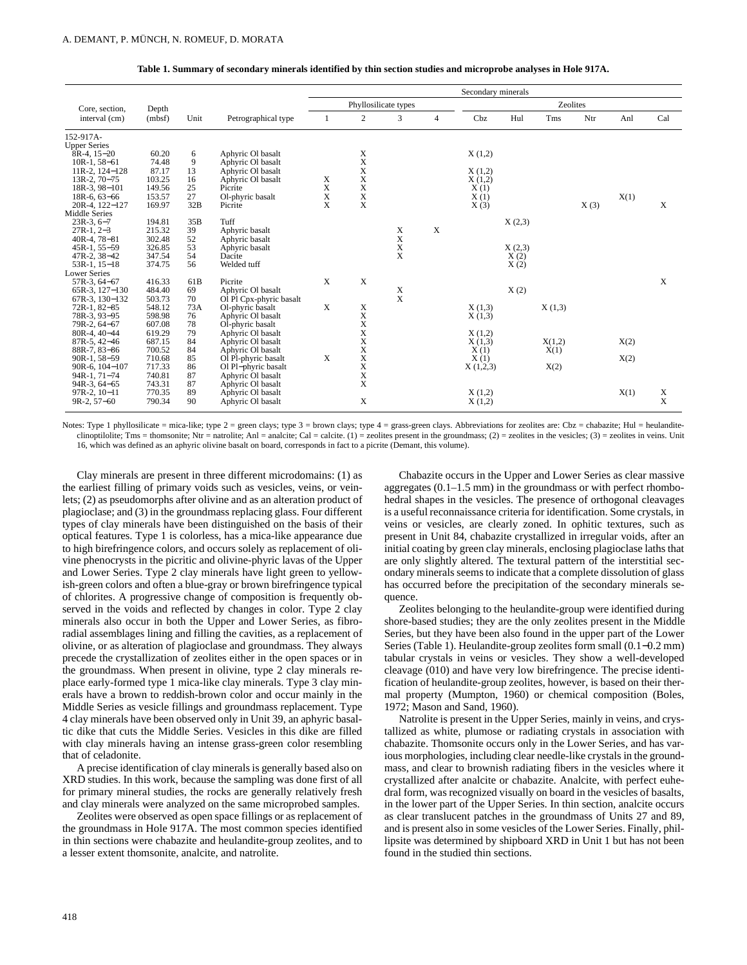| Table 1. Summary of secondary minerals identified by thin section studies and microprobe analyses in Hole 917A. |  |  |  |
|-----------------------------------------------------------------------------------------------------------------|--|--|--|
|                                                                                                                 |  |  |  |

| Core, section,<br>Depth<br>(mbf)<br>interval (cm) |        |                 |                         | Secondary minerals |                  |                 |                |          |        |            |      |      |        |
|---------------------------------------------------|--------|-----------------|-------------------------|--------------------|------------------|-----------------|----------------|----------|--------|------------|------|------|--------|
|                                                   |        |                 | Phyllosilicate types    |                    |                  | <b>Zeolites</b> |                |          |        |            |      |      |        |
|                                                   |        | Unit            | Petrographical type     |                    | $\boldsymbol{2}$ | 3               | $\overline{4}$ | Cbz      | Hul    | <b>Tms</b> | Ntr  | Anl  | Cal    |
| 152-917A-                                         |        |                 |                         |                    |                  |                 |                |          |        |            |      |      |        |
| <b>Upper Series</b>                               |        |                 |                         |                    |                  |                 |                |          |        |            |      |      |        |
| $8R-4$ , $15-20$                                  | 60.20  | 6               | Aphyric Ol basalt       |                    | X                |                 |                | X(1,2)   |        |            |      |      |        |
| $10R-1, 58-61$                                    | 74.48  | 9               | Aphyric Ol basalt       |                    | X                |                 |                |          |        |            |      |      |        |
| 11R-2, 124-128                                    | 87.17  | 13              | Aphyric Ol basalt       |                    | X                |                 |                | X(1,2)   |        |            |      |      |        |
| $13R-2$ , $70-75$                                 | 103.25 | 16              | Aphyric Ol basalt       | X                  | X                |                 |                | X(1,2)   |        |            |      |      |        |
| $18R-3, 98-101$                                   | 149.56 | 25              | Picrite                 | X                  | X                |                 |                | X(1)     |        |            |      |      |        |
| $18R-6.63-66$                                     | 153.57 | 27              | Ol-phyric basalt        | X                  | X                |                 |                | X(1)     |        |            |      | X(1) |        |
| 20R-4, 122-127                                    | 169.97 | 32B             | Picrite                 | X                  | X                |                 |                | X(3)     |        |            | X(3) |      | X      |
| Middle Series                                     |        |                 |                         |                    |                  |                 |                |          |        |            |      |      |        |
| $23R-3.6-7$                                       | 194.81 | 35B             | Tuff                    |                    |                  |                 |                |          | X(2,3) |            |      |      |        |
| $27R-1, 2-3$                                      | 215.32 | 39              | Aphyric basalt          |                    |                  | X               | $\mathbf x$    |          |        |            |      |      |        |
| 40R-4, 78-81                                      | 302.48 | 52              | Aphyric basalt          |                    |                  | X               |                |          |        |            |      |      |        |
| 45R-1, 55-59                                      | 326.85 | 53              | Aphyric basalt          |                    |                  | X               |                |          | X(2,3) |            |      |      |        |
| 47R-2, 38-42                                      | 347.54 | 54              | Dacite                  |                    |                  | X               |                |          | X(2)   |            |      |      |        |
| $53R-1, 15-18$                                    | 374.75 | 56              | Welded tuff             |                    |                  |                 |                |          | X(2)   |            |      |      |        |
| <b>Lower Series</b>                               |        |                 |                         |                    |                  |                 |                |          |        |            |      |      |        |
| $57R-3.64-67$                                     | 416.33 | 61 <sub>B</sub> | Picrite                 | X                  | $\mathbf X$      |                 |                |          |        |            |      |      | X      |
| 65R-3, 127-130                                    | 484.40 | 69              | Aphyric Ol basalt       |                    |                  | X               |                |          | X(2)   |            |      |      |        |
| 67R-3, 130-132                                    | 503.73 | 70              | Ol Pl Cpx-phyric basalt |                    |                  | $\mathbf{x}$    |                |          |        |            |      |      |        |
| 72R-1, 82-85                                      | 548.12 | 73A             | Ol-phyric basalt        | X                  | X                |                 |                | X(1,3)   |        | X(1,3)     |      |      |        |
| 78R-3, 93-95                                      | 598.98 | 76              | Aphyric Ol basalt       |                    | X                |                 |                | X(1,3)   |        |            |      |      |        |
| 79R-2, 64-67                                      | 607.08 | 78              | Ol-phyric basalt        |                    | $\mathbf X$      |                 |                |          |        |            |      |      |        |
| 80R-4, 40-44                                      | 619.29 | 79              | Aphyric Ol basalt       |                    | X                |                 |                | X(1,2)   |        |            |      |      |        |
| $87R - 5.42 - 46$                                 | 687.15 | 84              | Aphyric Ol basalt       |                    | X                |                 |                | X(1,3)   |        | X(1,2)     |      | X(2) |        |
| 88R-7, 83-86                                      | 700.52 | 84              | Aphyric Ol basalt       |                    | X                |                 |                | X(1)     |        | X(1)       |      |      |        |
| $90R-1.58-59$                                     | 710.68 | 85              | Ol Pl-phyric basalt     | X                  | X                |                 |                | X(1)     |        |            |      | X(2) |        |
| $90R-6.104-107$                                   | 717.33 | 86              | Ol Pl-phyric basalt     |                    | X                |                 |                | X(1,2,3) |        | X(2)       |      |      |        |
| $94R-1.71-74$                                     | 740.81 | 87              | Aphyric Ol basalt       |                    | X                |                 |                |          |        |            |      |      |        |
| $94R-3.64-65$                                     | 743.31 | 87              | Aphyric Ol basalt       |                    | $\mathbf X$      |                 |                |          |        |            |      |      |        |
| 97R-2, 10-11                                      | 770.35 | 89<br>90        | Aphyric Ol basalt       |                    | $\mathbf X$      |                 |                | X(1,2)   |        |            |      | X(1) | X<br>X |
| $9R-2.57-60$                                      | 790.34 |                 | Aphyric Ol basalt       |                    |                  |                 |                | X(1,2)   |        |            |      |      |        |

Notes: Type 1 phyllosilicate = mica-like; type  $2$  = green clays; type  $3$  = brown clays; type  $4$  = grass-green clays. Abbreviations for zeolites are: Cbz = chabazite; Hul = heulanditeclinoptilolite; Tms = thomsonite; Ntr = natrolite; Anl = analcite; Cal = calcite. (1) = zeolites present in the groundmass; (2) = zeolites in the vesicles; (3) = zeolites in veins. Unit 16, which was defined as an aphyric olivine basalt on board, corresponds in fact to a picrite (Demant, this volume).

Clay minerals are present in three different microdomains: (1) as the earliest filling of primary voids such as vesicles, veins, or veinlets; (2) as pseudomorphs after olivine and as an alteration product of plagioclase; and (3) in the groundmass replacing glass. Four different types of clay minerals have been distinguished on the basis of their optical features. Type 1 is colorless, has a mica-like appearance due to high birefringence colors, and occurs solely as replacement of olivine phenocrysts in the picritic and olivine-phyric lavas of the Upper and Lower Series. Type 2 clay minerals have light green to yellowish-green colors and often a blue-gray or brown birefringence typical of chlorites. A progressive change of composition is frequently observed in the voids and reflected by changes in color. Type 2 clay minerals also occur in both the Upper and Lower Series, as fibroradial assemblages lining and filling the cavities, as a replacement of olivine, or as alteration of plagioclase and groundmass. They always precede the crystallization of zeolites either in the open spaces or in the groundmass. When present in olivine, type 2 clay minerals replace early-formed type 1 mica-like clay minerals. Type 3 clay minerals have a brown to reddish-brown color and occur mainly in the Middle Series as vesicle fillings and groundmass replacement. Type 4 clay minerals have been observed only in Unit 39, an aphyric basaltic dike that cuts the Middle Series. Vesicles in this dike are filled with clay minerals having an intense grass-green color resembling that of celadonite.

A precise identification of clay minerals is generally based also on XRD studies. In this work, because the sampling was done first of all for primary mineral studies, the rocks are generally relatively fresh and clay minerals were analyzed on the same microprobed samples.

Zeolites were observed as open space fillings or as replacement of the groundmass in Hole 917A. The most common species identified in thin sections were chabazite and heulandite-group zeolites, and to a lesser extent thomsonite, analcite, and natrolite.

Chabazite occurs in the Upper and Lower Series as clear massive aggregates (0.1–1.5 mm) in the groundmass or with perfect rhombohedral shapes in the vesicles. The presence of orthogonal cleavages is a useful reconnaissance criteria for identification. Some crystals, in veins or vesicles, are clearly zoned. In ophitic textures, such as present in Unit 84, chabazite crystallized in irregular voids, after an initial coating by green clay minerals, enclosing plagioclase laths that are only slightly altered. The textural pattern of the interstitial secondary minerals seems to indicate that a complete dissolution of glass has occurred before the precipitation of the secondary minerals sequence.

Zeolites belonging to the heulandite-group were identified during shore-based studies; they are the only zeolites present in the Middle Series, but they have been also found in the upper part of the Lower Series (Table 1). Heulandite-group zeolites form small (0.1−0.2 mm) tabular crystals in veins or vesicles. They show a well-developed cleavage (010) and have very low birefringence. The precise identification of heulandite-group zeolites, however, is based on their thermal property (Mumpton, 1960) or chemical composition (Boles, 1972; Mason and Sand, 1960).

Natrolite is present in the Upper Series, mainly in veins, and crystallized as white, plumose or radiating crystals in association with chabazite. Thomsonite occurs only in the Lower Series, and has various morphologies, including clear needle-like crystals in the groundmass, and clear to brownish radiating fibers in the vesicles where it crystallized after analcite or chabazite. Analcite, with perfect euhedral form, was recognized visually on board in the vesicles of basalts, in the lower part of the Upper Series. In thin section, analcite occurs as clear translucent patches in the groundmass of Units 27 and 89, and is present also in some vesicles of the Lower Series. Finally, phillipsite was determined by shipboard XRD in Unit 1 but has not been found in the studied thin sections.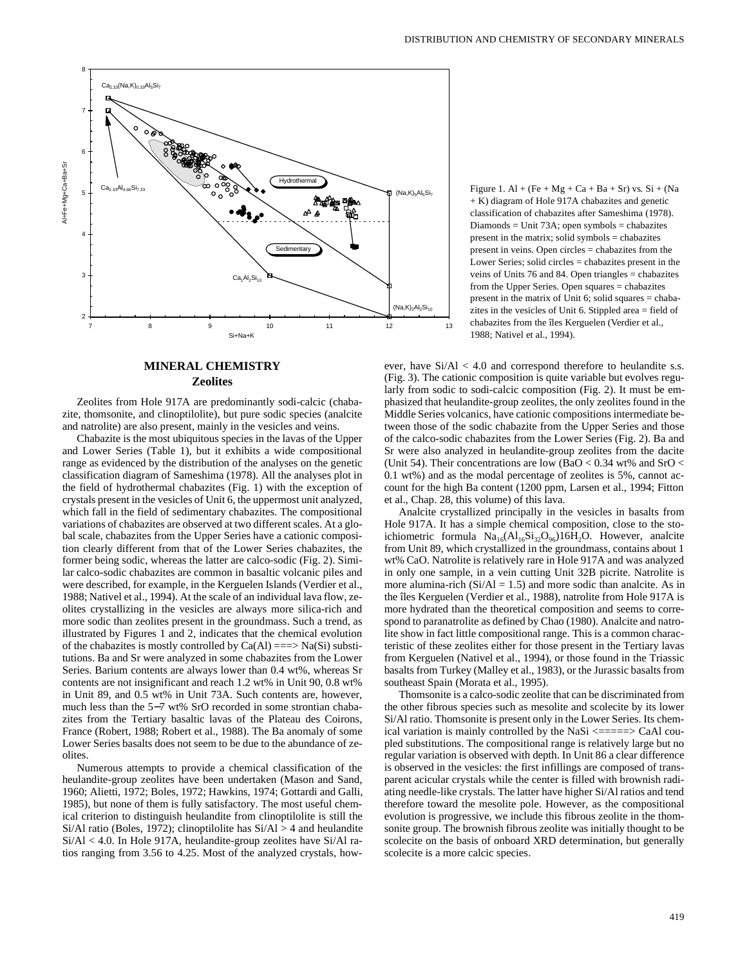

### **MINERAL CHEMISTRY Zeolites**

Zeolites from Hole 917A are predominantly sodi-calcic (chabazite, thomsonite, and clinoptilolite), but pure sodic species (analcite and natrolite) are also present, mainly in the vesicles and veins.

Chabazite is the most ubiquitous species in the lavas of the Upper and Lower Series (Table 1), but it exhibits a wide compositional range as evidenced by the distribution of the analyses on the genetic classification diagram of Sameshima (1978). All the analyses plot in the field of hydrothermal chabazites (Fig. 1) with the exception of crystals present in the vesicles of Unit 6, the uppermost unit analyzed, which fall in the field of sedimentary chabazites. The compositional variations of chabazites are observed at two different scales. At a global scale, chabazites from the Upper Series have a cationic composition clearly different from that of the Lower Series chabazites, the former being sodic, whereas the latter are calco-sodic (Fig. 2). Similar calco-sodic chabazites are common in basaltic volcanic piles and were described, for example, in the Kerguelen Islands (Verdier et al., 1988; Nativel et al., 1994). At the scale of an individual lava flow, zeolites crystallizing in the vesicles are always more silica-rich and more sodic than zeolites present in the groundmass. Such a trend, as illustrated by Figures 1 and 2, indicates that the chemical evolution of the chabazites is mostly controlled by  $Ca(AI) == > Na(Si)$  substitutions. Ba and Sr were analyzed in some chabazites from the Lower Series. Barium contents are always lower than 0.4 wt%, whereas Sr contents are not insignificant and reach 1.2 wt% in Unit 90, 0.8 wt% in Unit 89, and 0.5 wt% in Unit 73A. Such contents are, however, much less than the 5−7 wt% SrO recorded in some strontian chabazites from the Tertiary basaltic lavas of the Plateau des Coirons, France (Robert, 1988; Robert et al., 1988). The Ba anomaly of some Lower Series basalts does not seem to be due to the abundance of zeolites.

Numerous attempts to provide a chemical classification of the heulandite-group zeolites have been undertaken (Mason and Sand, 1960; Alietti, 1972; Boles, 1972; Hawkins, 1974; Gottardi and Galli, 1985), but none of them is fully satisfactory. The most useful chemical criterion to distinguish heulandite from clinoptilolite is still the  $Si/Al \text{ ratio (Boles, 1972)}$ ; clinoptilolite has  $Si/Al > 4$  and heulandite Si/Al < 4.0. In Hole 917A, heulandite-group zeolites have Si/Al ratios ranging from 3.56 to 4.25. Most of the analyzed crystals, howFigure 1. Al + (Fe + Mg + Ca + Ba + Sr) vs.  $Si$  + (Na + K) diagram of Hole 917A chabazites and genetic classification of chabazites after Sameshima (1978). Diamonds = Unit 73A; open symbols = chabazites present in the matrix; solid symbols = chabazites present in veins. Open circles = chabazites from the Lower Series; solid circles = chabazites present in the veins of Units 76 and 84. Open triangles = chabazites from the Upper Series. Open squares = chabazites present in the matrix of Unit 6; solid squares = chabazites in the vesicles of Unit 6. Stippled area = field of chabazites from the îles Kerguelen (Verdier et al., 1988; Nativel et al., 1994).

ever, have Si/Al < 4.0 and correspond therefore to heulandite s.s. (Fig. 3). The cationic composition is quite variable but evolves regularly from sodic to sodi-calcic composition (Fig. 2). It must be emphasized that heulandite-group zeolites, the only zeolites found in the Middle Series volcanics, have cationic compositions intermediate between those of the sodic chabazite from the Upper Series and those of the calco-sodic chabazites from the Lower Series (Fig. 2). Ba and Sr were also analyzed in heulandite-group zeolites from the dacite (Unit 54). Their concentrations are low (BaO <  $0.34$  wt% and SrO < 0.1 wt%) and as the modal percentage of zeolites is 5%, cannot account for the high Ba content (1200 ppm, Larsen et al., 1994; Fitton et al., Chap. 28, this volume) of this lava.

Analcite crystallized principally in the vesicles in basalts from Hole 917A. It has a simple chemical composition, close to the stoichiometric formula  $Na_{16}(Al_{16}Si_{32}O_{96})16H_2O$ . However, analcite from Unit 89, which crystallized in the groundmass, contains about 1 wt% CaO. Natrolite is relatively rare in Hole 917A and was analyzed in only one sample, in a vein cutting Unit 32B picrite. Natrolite is more alumina-rich  $(Si/Al = 1.5)$  and more sodic than analcite. As in the îles Kerguelen (Verdier et al., 1988), natrolite from Hole 917A is more hydrated than the theoretical composition and seems to correspond to paranatrolite as defined by Chao (1980). Analcite and natrolite show in fact little compositional range. This is a common characteristic of these zeolites either for those present in the Tertiary lavas from Kerguelen (Nativel et al., 1994), or those found in the Triassic basalts from Turkey (Malley et al., 1983), or the Jurassic basalts from southeast Spain (Morata et al., 1995).

Thomsonite is a calco-sodic zeolite that can be discriminated from the other fibrous species such as mesolite and scolecite by its lower Si/Al ratio. Thomsonite is present only in the Lower Series. Its chemical variation is mainly controlled by the NaSi  $\leq$  ==== $\geq$  CaAl coupled substitutions. The compositional range is relatively large but no regular variation is observed with depth. In Unit 86 a clear difference is observed in the vesicles: the first infillings are composed of transparent acicular crystals while the center is filled with brownish radiating needle-like crystals. The latter have higher Si/Al ratios and tend therefore toward the mesolite pole. However, as the compositional evolution is progressive, we include this fibrous zeolite in the thomsonite group. The brownish fibrous zeolite was initially thought to be scolecite on the basis of onboard XRD determination, but generally scolecite is a more calcic species.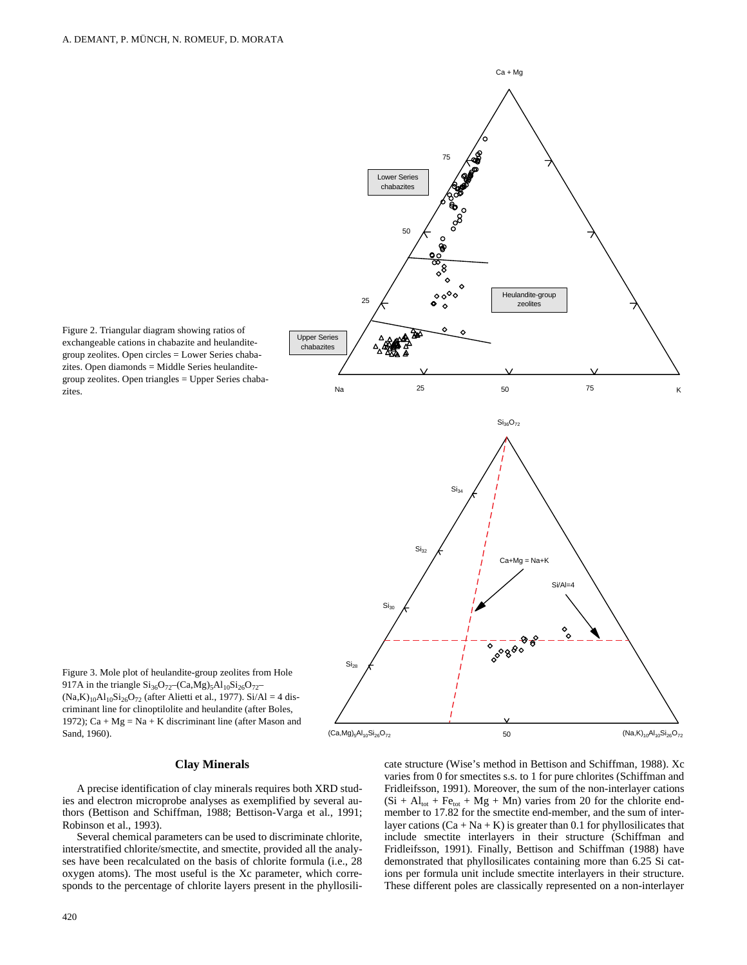

Figure 2. Triangular diagram showing ratios of exchangeable cations in chabazite and heulanditegroup zeolites. Open circles = Lower Series chabazites. Open diamonds = Middle Series heulanditegroup zeolites. Open triangles = Upper Series chabazites.

(Na,K)10Al10Si26O72 (Ca,Mg)5Al10Si26O72

### **Clay Minerals**

Figure 3. Mole plot of heulandite-group zeolites from Hole 917A in the triangle  $Si_{36}O_{72}$  (Ca,Mg)<sub>5</sub>Al<sub>10</sub>Si<sub>26</sub>O<sub>72</sub>–  $(Na,K)_{10}Al_{10}Si_{26}O_{72}$  (after Alietti et al., 1977). Si/Al = 4 discriminant line for clinoptilolite and heulandite (after Boles, 1972); Ca + Mg = Na + K discriminant line (after Mason and

A precise identification of clay minerals requires both XRD studies and electron microprobe analyses as exemplified by several authors (Bettison and Schiffman, 1988; Bettison-Varga et al., 1991; Robinson et al., 1993).

Several chemical parameters can be used to discriminate chlorite, interstratified chlorite/smectite, and smectite, provided all the analyses have been recalculated on the basis of chlorite formula (i.e., 28 oxygen atoms). The most useful is the Xc parameter, which corresponds to the percentage of chlorite layers present in the phyllosili-

420

Sand, 1960).

cate structure (Wise's method in Bettison and Schiffman, 1988). Xc varies from 0 for smectites s.s. to 1 for pure chlorites (Schiffman and Fridleifsson, 1991). Moreover, the sum of the non-interlayer cations  $(Si + Al<sub>tot</sub> + Fe<sub>tot</sub> + Mg + Mn)$  varies from 20 for the chlorite endmember to 17.82 for the smectite end-member, and the sum of interlayer cations  $(Ca + Na + K)$  is greater than 0.1 for phyllosilicates that include smectite interlayers in their structure (Schiffman and Fridleifsson, 1991). Finally, Bettison and Schiffman (1988) have demonstrated that phyllosilicates containing more than 6.25 Si cations per formula unit include smectite interlayers in their structure. These different poles are classically represented on a non-interlayer

50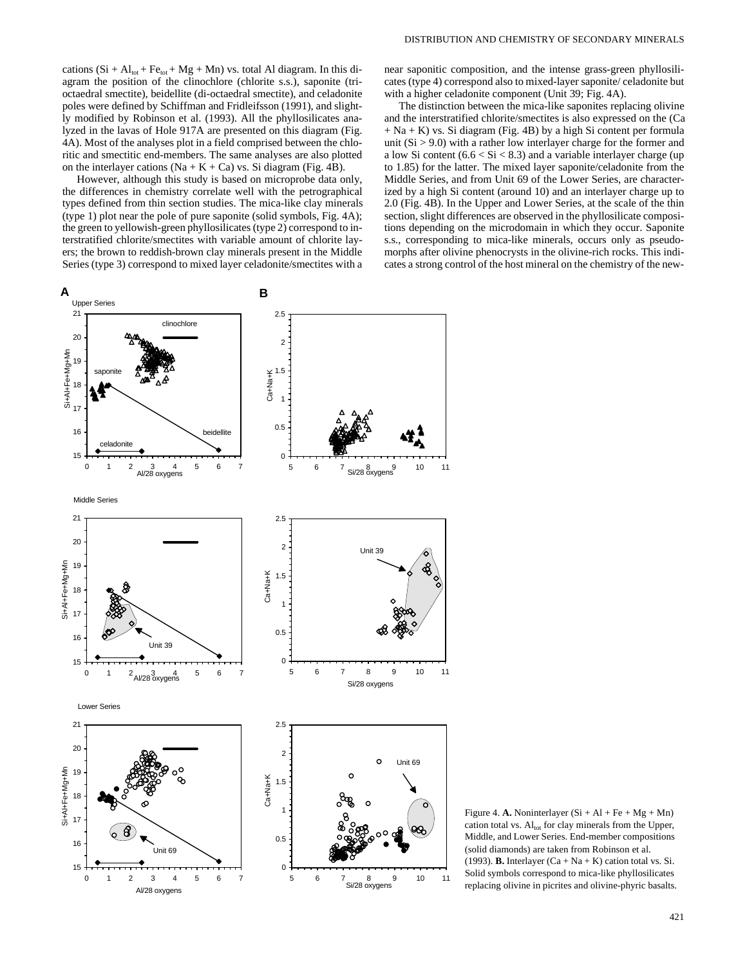However, although this study is based on microprobe data only, the differences in chemistry correlate well with the petrographical types defined from thin section studies. The mica-like clay minerals (type 1) plot near the pole of pure saponite (solid symbols, Fig. 4A); the green to yellowish-green phyllosilicates (type 2) correspond to interstratified chlorite/smectites with variable amount of chlorite layers; the brown to reddish-brown clay minerals present in the Middle Series (type 3) correspond to mixed layer celadonite/smectites with a near saponitic composition, and the intense grass-green phyllosilicates (type 4) correspond also to mixed-layer saponite/ celadonite but with a higher celadonite component (Unit 39; Fig. 4A).

The distinction between the mica-like saponites replacing olivine and the interstratified chlorite/smectites is also expressed on the (Ca + Na + K) vs. Si diagram (Fig. 4B) by a high Si content per formula unit  $(Si > 9.0)$  with a rather low interlayer charge for the former and a low Si content  $(6.6 < Si < 8.3)$  and a variable interlayer charge (up to 1.85) for the latter. The mixed layer saponite/celadonite from the Middle Series, and from Unit 69 of the Lower Series, are characterized by a high Si content (around 10) and an interlayer charge up to 2.0 (Fig. 4B). In the Upper and Lower Series, at the scale of the thin section, slight differences are observed in the phyllosilicate compositions depending on the microdomain in which they occur. Saponite s.s., corresponding to mica-like minerals, occurs only as pseudomorphs after olivine phenocrysts in the olivine-rich rocks. This indicates a strong control of the host mineral on the chemistry of the new-



Figure 4. **A.** Noninterlayer  $(Si + Al + Fe + Mg + Mn)$ cation total vs. Al<sub>tot</sub> for clay minerals from the Upper, Middle, and Lower Series. End-member compositions (solid diamonds) are taken from Robinson et al. (1993). **B.** Interlayer  $(Ca + Na + K)$  cation total vs. Si. Solid symbols correspond to mica-like phyllosilicates replacing olivine in picrites and olivine-phyric basalts.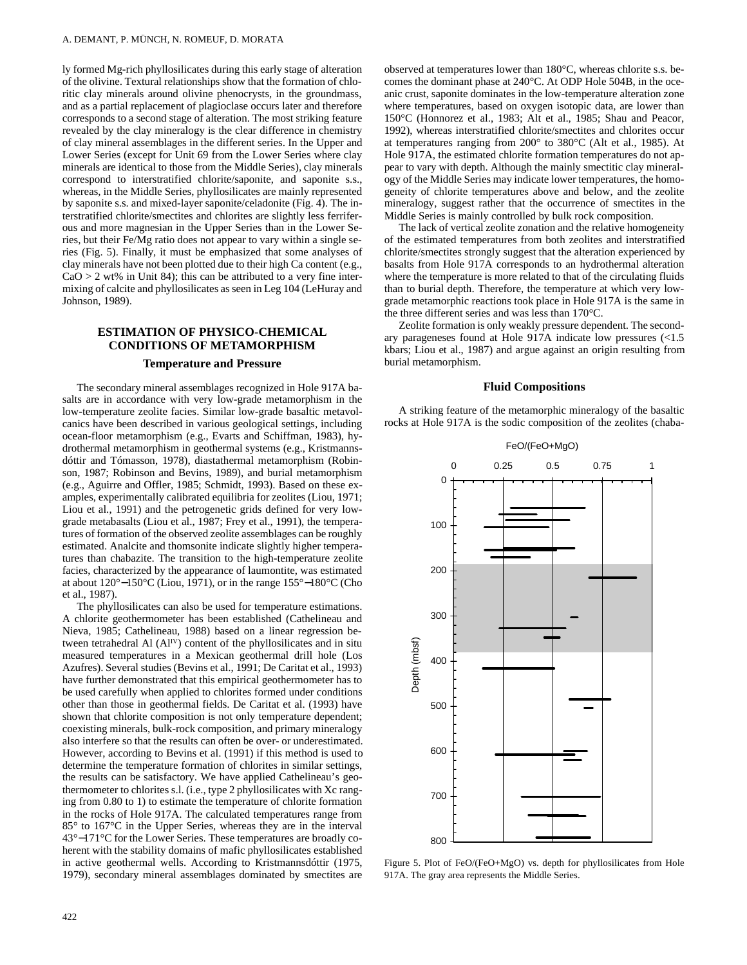ly formed Mg-rich phyllosilicates during this early stage of alteration of the olivine. Textural relationships show that the formation of chloritic clay minerals around olivine phenocrysts, in the groundmass, and as a partial replacement of plagioclase occurs later and therefore corresponds to a second stage of alteration. The most striking feature revealed by the clay mineralogy is the clear difference in chemistry of clay mineral assemblages in the different series. In the Upper and Lower Series (except for Unit 69 from the Lower Series where clay minerals are identical to those from the Middle Series), clay minerals correspond to interstratified chlorite/saponite, and saponite s.s., whereas, in the Middle Series, phyllosilicates are mainly represented by saponite s.s. and mixed-layer saponite/celadonite (Fig. 4). The interstratified chlorite/smectites and chlorites are slightly less ferriferous and more magnesian in the Upper Series than in the Lower Series, but their Fe/Mg ratio does not appear to vary within a single series (Fig. 5). Finally, it must be emphasized that some analyses of clay minerals have not been plotted due to their high Ca content (e.g.,  $CaO > 2$  wt% in Unit 84); this can be attributed to a very fine intermixing of calcite and phyllosilicates as seen in Leg 104 (LeHuray and Johnson, 1989).

# **ESTIMATION OF PHYSICO-CHEMICAL CONDITIONS OF METAMORPHISM**

### **Temperature and Pressure**

The secondary mineral assemblages recognized in Hole 917A basalts are in accordance with very low-grade metamorphism in the low-temperature zeolite facies. Similar low-grade basaltic metavolcanics have been described in various geological settings, including ocean-floor metamorphism (e.g., Evarts and Schiffman, 1983), hydrothermal metamorphism in geothermal systems (e.g., Kristmannsdóttir and Tómasson, 1978), diastathermal metamorphism (Robinson, 1987; Robinson and Bevins, 1989), and burial metamorphism (e.g., Aguirre and Offler, 1985; Schmidt, 1993). Based on these examples, experimentally calibrated equilibria for zeolites (Liou, 1971; Liou et al., 1991) and the petrogenetic grids defined for very lowgrade metabasalts (Liou et al., 1987; Frey et al., 1991), the temperatures of formation of the observed zeolite assemblages can be roughly estimated. Analcite and thomsonite indicate slightly higher temperatures than chabazite. The transition to the high-temperature zeolite facies, characterized by the appearance of laumontite, was estimated at about 120°−150°C (Liou, 1971), or in the range 155°−180°C (Cho et al., 1987).

The phyllosilicates can also be used for temperature estimations. A chlorite geothermometer has been established (Cathelineau and Nieva, 1985; Cathelineau, 1988) based on a linear regression between tetrahedral Al  $(AI<sup>IV</sup>)$  content of the phyllosilicates and in situ measured temperatures in a Mexican geothermal drill hole (Los Azufres). Several studies (Bevins et al., 1991; De Caritat et al., 1993) have further demonstrated that this empirical geothermometer has to be used carefully when applied to chlorites formed under conditions other than those in geothermal fields. De Caritat et al. (1993) have shown that chlorite composition is not only temperature dependent; coexisting minerals, bulk-rock composition, and primary mineralogy also interfere so that the results can often be over- or underestimated. However, according to Bevins et al. (1991) if this method is used to determine the temperature formation of chlorites in similar settings, the results can be satisfactory. We have applied Cathelineau's geothermometer to chlorites s.l. (i.e., type 2 phyllosilicates with Xc ranging from 0.80 to 1) to estimate the temperature of chlorite formation in the rocks of Hole 917A. The calculated temperatures range from 85° to 167°C in the Upper Series, whereas they are in the interval 43°−171°C for the Lower Series. These temperatures are broadly coherent with the stability domains of mafic phyllosilicates established in active geothermal wells. According to Kristmannsdóttir (1975, 1979), secondary mineral assemblages dominated by smectites are

 $422$ 

observed at temperatures lower than 180°C, whereas chlorite s.s. becomes the dominant phase at 240°C. At ODP Hole 504B, in the oceanic crust, saponite dominates in the low-temperature alteration zone where temperatures, based on oxygen isotopic data, are lower than 150°C (Honnorez et al., 1983; Alt et al., 1985; Shau and Peacor, 1992), whereas interstratified chlorite/smectites and chlorites occur at temperatures ranging from 200° to 380°C (Alt et al., 1985). At Hole 917A, the estimated chlorite formation temperatures do not appear to vary with depth. Although the mainly smectitic clay mineralogy of the Middle Series may indicate lower temperatures, the homogeneity of chlorite temperatures above and below, and the zeolite mineralogy, suggest rather that the occurrence of smectites in the Middle Series is mainly controlled by bulk rock composition.

The lack of vertical zeolite zonation and the relative homogeneity of the estimated temperatures from both zeolites and interstratified chlorite/smectites strongly suggest that the alteration experienced by basalts from Hole 917A corresponds to an hydrothermal alteration where the temperature is more related to that of the circulating fluids than to burial depth. Therefore, the temperature at which very lowgrade metamorphic reactions took place in Hole 917A is the same in the three different series and was less than 170°C.

Zeolite formation is only weakly pressure dependent. The secondary parageneses found at Hole 917A indicate low pressures (<1.5 kbars; Liou et al., 1987) and argue against an origin resulting from burial metamorphism.

### **Fluid Compositions**

A striking feature of the metamorphic mineralogy of the basaltic rocks at Hole 917A is the sodic composition of the zeolites (chaba-



Figure 5. Plot of FeO/(FeO+MgO) vs. depth for phyllosilicates from Hole 917A. The gray area represents the Middle Series.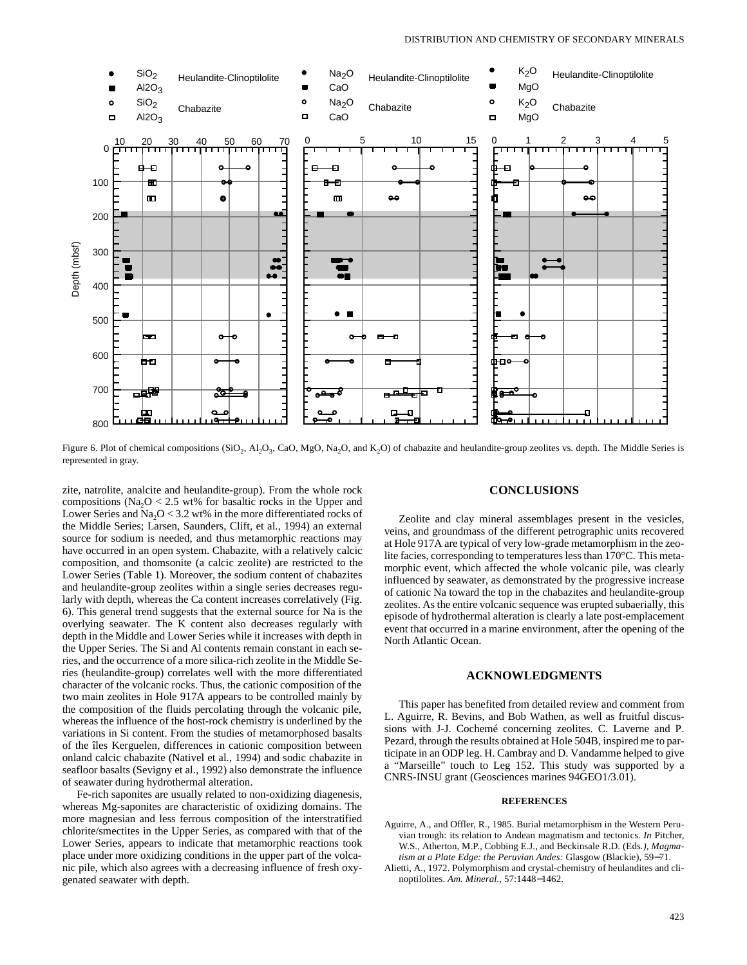

Figure 6. Plot of chemical compositions  $(SiO_2, A1_2O_3, CaO, MgO, Na_2O, and K_2O)$  of chabazite and heulandite-group zeolites vs. depth. The Middle Series is represented in gray.

zite, natrolite, analcite and heulandite-group). From the whole rock compositions (Na<sub>2</sub>O < 2.5 wt% for basaltic rocks in the Upper and Lower Series and  $Na<sub>2</sub>O < 3.2$  wt% in the more differentiated rocks of the Middle Series; Larsen, Saunders, Clift, et al., 1994) an external source for sodium is needed, and thus metamorphic reactions may have occurred in an open system. Chabazite, with a relatively calcic composition, and thomsonite (a calcic zeolite) are restricted to the Lower Series (Table 1). Moreover, the sodium content of chabazites and heulandite-group zeolites within a single series decreases regularly with depth, whereas the Ca content increases correlatively (Fig. 6). This general trend suggests that the external source for Na is the overlying seawater. The K content also decreases regularly with depth in the Middle and Lower Series while it increases with depth in the Upper Series. The Si and Al contents remain constant in each series, and the occurrence of a more silica-rich zeolite in the Middle Series (heulandite-group) correlates well with the more differentiated character of the volcanic rocks. Thus, the cationic composition of the two main zeolites in Hole 917A appears to be controlled mainly by the composition of the fluids percolating through the volcanic pile, whereas the influence of the host-rock chemistry is underlined by the variations in Si content. From the studies of metamorphosed basalts of the îles Kerguelen, differences in cationic composition between onland calcic chabazite (Nativel et al., 1994) and sodic chabazite in seafloor basalts (Sevigny et al., 1992) also demonstrate the influence of seawater during hydrothermal alteration.

Fe-rich saponites are usually related to non-oxidizing diagenesis, whereas Mg-saponites are characteristic of oxidizing domains. The more magnesian and less ferrous composition of the interstratified chlorite/smectites in the Upper Series, as compared with that of the Lower Series, appears to indicate that metamorphic reactions took place under more oxidizing conditions in the upper part of the volcanic pile, which also agrees with a decreasing influence of fresh oxygenated seawater with depth.

### **CONCLUSIONS**

Zeolite and clay mineral assemblages present in the vesicles, veins, and groundmass of the different petrographic units recovered at Hole 917A are typical of very low-grade metamorphism in the zeolite facies, corresponding to temperatures less than 170°C. This metamorphic event, which affected the whole volcanic pile, was clearly influenced by seawater, as demonstrated by the progressive increase of cationic Na toward the top in the chabazites and heulandite-group zeolites. As the entire volcanic sequence was erupted subaerially, this episode of hydrothermal alteration is clearly a late post-emplacement event that occurred in a marine environment, after the opening of the North Atlantic Ocean.

### **ACKNOWLEDGMENTS**

This paper has benefited from detailed review and comment from L. Aguirre, R. Bevins, and Bob Wathen, as well as fruitful discussions with J-J. Cochemé concerning zeolites. C. Laverne and P. Pezard, through the results obtained at Hole 504B, inspired me to participate in an ODP leg. H. Cambray and D. Vandamme helped to give a "Marseille" touch to Leg 152. This study was supported by a CNRS-INSU grant (Geosciences marines 94GEO1/3.01).

#### **REFERENCES**

- Aguirre, A., and Offler, R., 1985. Burial metamorphism in the Western Peruvian trough: its relation to Andean magmatism and tectonics. *In* Pitcher, W.S., Atherton, M.P., Cobbing E.J., and Beckinsale R.D. (Eds*.), Magmatism at a Plate Edge: the Peruvian Andes:* Glasgow (Blackie), 59−71.
- Alietti, A., 1972. Polymorphism and crystal-chemistry of heulandites and clinoptilolites. *Am. Mineral.,* 57:1448−1462.